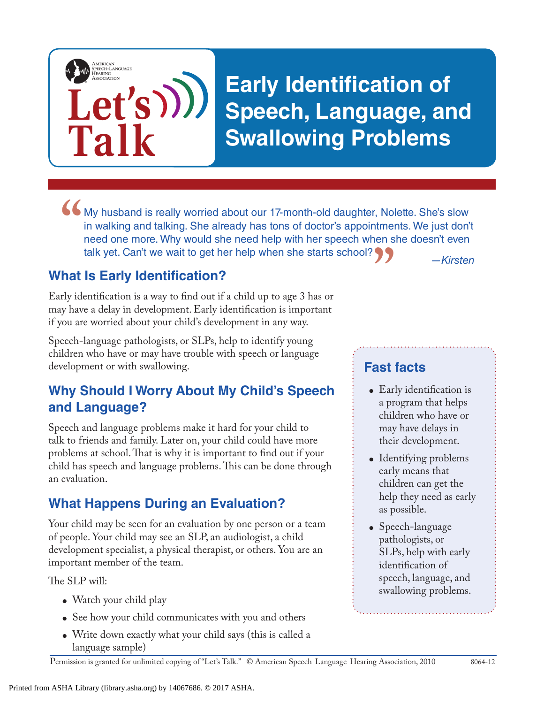

My husband is really worried about our 17-month-old daughter, Nolette. She's slow in walking and talking. She already has tons of doctor's appointments. We just don't need one more. Why would she need help with her speech in walking and talking. She already has tons of doctor's appointments. We just don't need one more. Why would she need help with her speech when she doesn't even talk yet. Can't we wait to get her help when she starts school? 9 **"**

## **What Is Early Identification?**

Early identification is a way to find out if a child up to age 3 has or may have a delay in development. Early identification is important if you are worried about your child's development in any way.

Speech-language pathologists, or SLPs, help to identify young children who have or may have trouble with speech or language development or with swallowing.

### **Why Should I Worry About My Child's Speech and Language?**

Speech and language problems make it hard for your child to talk to friends and family. Later on, your child could have more problems at school. That is why it is important to find out if your child has speech and language problems. This can be done through an evaluation.

## **What Happens During an Evaluation?**

Your child may be seen for an evaluation by one person or a team of people. Your child may see an SLP, an audiologist, a child development specialist, a physical therapist, or others. You are an important member of the team.

The SLP will:

- Watch your child play
- See how your child communicates with you and others
- Write down exactly what your child says (this is called a language sample)

*—Kirsten*

## **Fast facts**

- Early identification is a program that helps children who have or may have delays in their development.
- Identifying problems early means that children can get the help they need as early as possible.
- Speech-language pathologists, or SLPs, help with early identification of speech, language, and swallowing problems.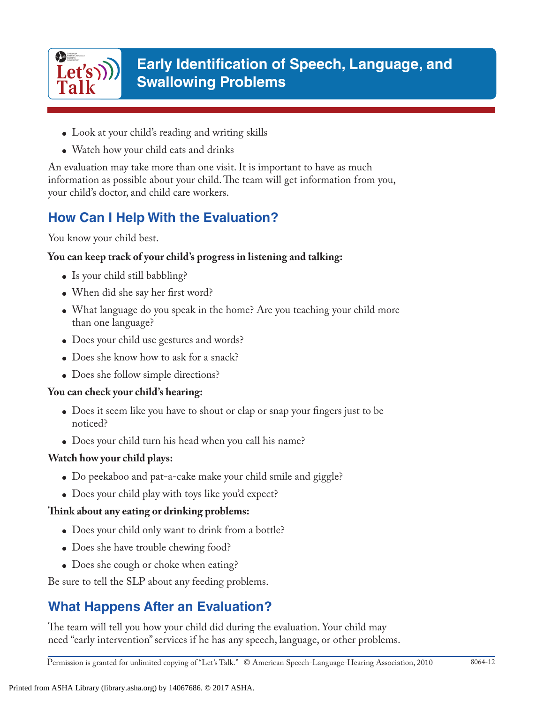

# **Early Identification of Speech, Language, and Swallowing Problems**

- Look at your child's reading and writing skills
- Watch how your child eats and drinks

An evaluation may take more than one visit. It is important to have as much information as possible about your child. The team will get information from you, your child's doctor, and child care workers.

# **How Can I Help With the Evaluation?**

You know your child best.

#### **You can keep track of your child's progress in listening and talking:**

- Is your child still babbling?
- When did she say her first word?
- What language do you speak in the home? Are you teaching your child more than one language?
- Does your child use gestures and words?
- Does she know how to ask for a snack?
- Does she follow simple directions?

#### **You can check your child's hearing:**

- Does it seem like you have to shout or clap or snap your fingers just to be noticed?
- Does your child turn his head when you call his name?

#### **Watch how your child plays:**

- Do peekaboo and pat-a-cake make your child smile and giggle?
- Does your child play with toys like you'd expect?

#### **Think about any eating or drinking problems:**

- Does your child only want to drink from a bottle?
- Does she have trouble chewing food?
- Does she cough or choke when eating?

Be sure to tell the SLP about any feeding problems.

# **What Happens After an Evaluation?**

The team will tell you how your child did during the evaluation. Your child may need "early intervention" services if he has any speech, language, or other problems.